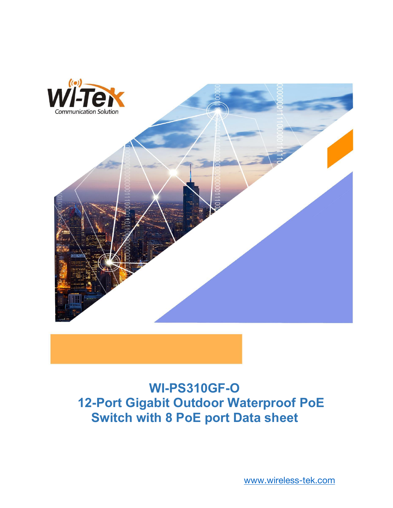

## **WI-PS310GF-O 12-Port Gigabit Outdoor Waterproof PoE Switch with 8 PoE portData sheet**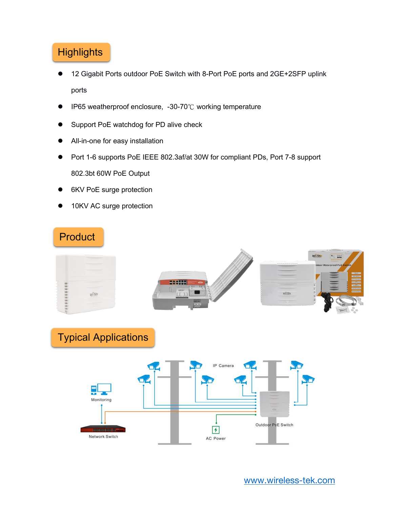## **Highlights**

- 12 Gigabit Ports outdoor PoE Switch with 8-Port PoE ports and 2GE+2SFP uplink ports
- IP65 weatherproof enclosure, -30-70℃ working temperature
- Support PoE watchdog for PD alive check
- All-in-one for easy installation
- Port 1-6 supports PoE IEEE 802.3af/at 30W for compliant PDs, Port 7-8 support 802.3bt 60W PoE Output
- 6KV PoE surge protection
- 10KV AC surge protection

## Product



Typical Applications

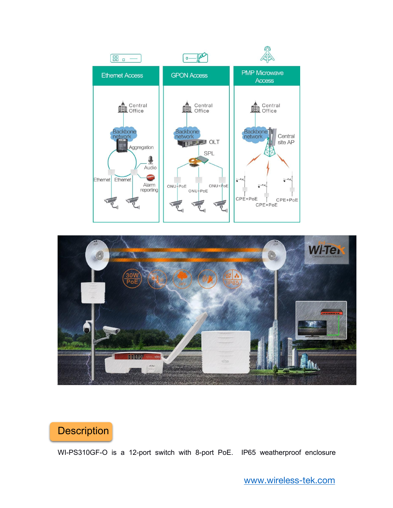



## **Description**

WI-PS310GF-O is a 12-port switch with 8-port PoE. IP65 weatherproof enclosure

[www.wireless-tek.com](http://www.wireless-tek.com)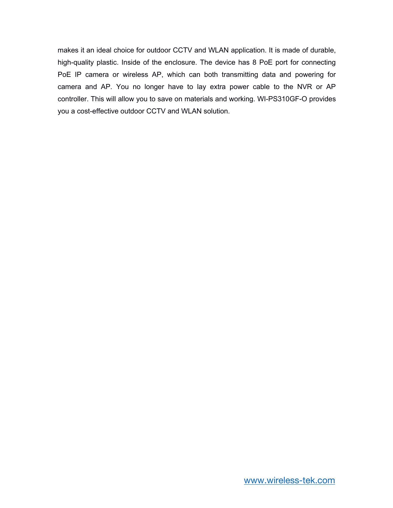makes it an ideal choice for outdoor CCTV and WLAN application. It is made of durable, high-quality plastic. Inside of the enclosure. The device has 8 PoE port for connecting PoE IP camera or wireless AP, which can both transmitting data and powering for camera and AP. You no longer have to lay extra power cable to the NVR or AP controller. This will allow you to save on materials and working. WI-PS310GF-O provides you a cost-effective outdoor CCTV and WLAN solution.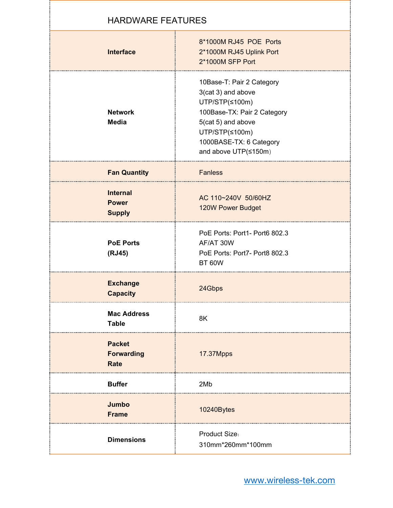| <b>HARDWARE FEATURES</b>                          |                                                                                                                                                                                             |
|---------------------------------------------------|---------------------------------------------------------------------------------------------------------------------------------------------------------------------------------------------|
| <b>Interface</b>                                  | 8*1000M RJ45 POE Ports<br>2*1000M RJ45 Uplink Port<br>2*1000M SFP Port                                                                                                                      |
| <b>Network</b><br><b>Media</b>                    | 10Base-T: Pair 2 Category<br>3(cat 3) and above<br>UTP/STP(≤100m)<br>100Base-TX: Pair 2 Category<br>5(cat 5) and above<br>UTP/STP(≤100m)<br>1000BASE-TX: 6 Category<br>and above UTP(≤150m) |
| <b>Fan Quantity</b>                               | <b>Fanless</b>                                                                                                                                                                              |
| <b>Internal</b><br><b>Power</b><br><b>Supply</b>  | AC 110~240V 50/60HZ<br>120W Power Budget                                                                                                                                                    |
| <b>PoE Ports</b><br>(RJ45)                        | PoE Ports: Port1- Port6 802.3<br>AF/AT 30W<br>PoE Ports: Port7- Port8 802.3<br><b>BT 60W</b>                                                                                                |
| <b>Exchange</b><br><b>Capacity</b>                | 24Gbps                                                                                                                                                                                      |
| <b>Mac Address</b><br><b>Table</b>                | 8K                                                                                                                                                                                          |
| <b>Packet</b><br><b>Forwarding</b><br><b>Rate</b> | 17.37Mpps                                                                                                                                                                                   |
| <b>Buffer</b>                                     | 2Mb                                                                                                                                                                                         |
| Jumbo<br><b>Frame</b>                             | 10240Bytes                                                                                                                                                                                  |
| <b>Dimensions</b>                                 | Product Size:<br>310mm*260mm*100mm                                                                                                                                                          |

a pro

۰.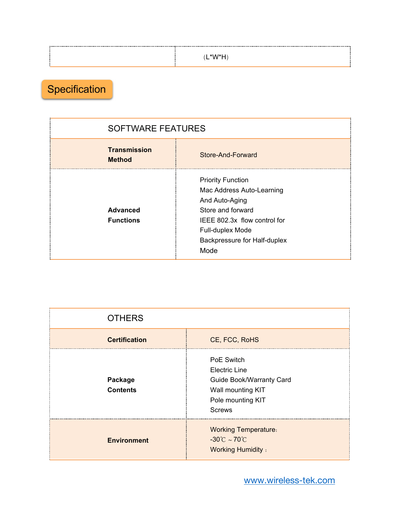| $(L^*W^*H)$ |  |
|-------------|--|
|             |  |
|             |  |

Specification

| <b>SOFTWARE FEATURES</b>             |                                                                                                                                                                                          |  |
|--------------------------------------|------------------------------------------------------------------------------------------------------------------------------------------------------------------------------------------|--|
| <b>Transmission</b><br><b>Method</b> | Store-And-Forward                                                                                                                                                                        |  |
| <b>Advanced</b><br><b>Functions</b>  | <b>Priority Function</b><br>Mac Address Auto-Learning<br>And Auto-Aging<br>Store and forward<br>IEEE 802.3x flow control for<br>Full-duplex Mode<br>Backpressure for Half-duplex<br>Mode |  |

| <b>OTHERS</b>              |                                                                                                                                  |
|----------------------------|----------------------------------------------------------------------------------------------------------------------------------|
| <b>Certification</b>       | CE, FCC, RoHS                                                                                                                    |
| Package<br><b>Contents</b> | PoE Switch<br><b>Electric Line</b><br><b>Guide Book/Warranty Card</b><br>Wall mounting KIT<br>Pole mounting KIT<br><b>Screws</b> |
| <b>Environment</b>         | <b>Working Temperature:</b><br>$-30^{\circ}$ C ~ 70 $^{\circ}$ C<br><b>Working Humidity:</b>                                     |